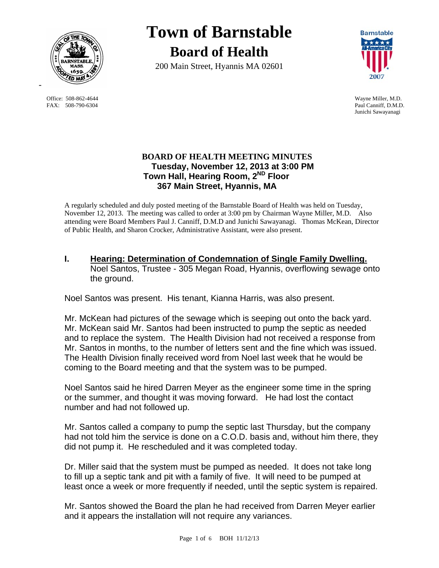

FAX: 508-790-6304 Paul Canniff, D.M.D.

# **Town of Barnstable Board of Health**

200 Main Street, Hyannis MA 02601



 Office: 508-862-4644 Wayne Miller, M.D. Junichi Sawayanagi

#### **BOARD OF HEALTH MEETING MINUTES Tuesday, November 12, 2013 at 3:00 PM Town Hall, Hearing Room, 2ND Floor 367 Main Street, Hyannis, MA**

A regularly scheduled and duly posted meeting of the Barnstable Board of Health was held on Tuesday, November 12, 2013. The meeting was called to order at 3:00 pm by Chairman Wayne Miller, M.D. Also attending were Board Members Paul J. Canniff, D.M.D and Junichi Sawayanagi. Thomas McKean, Director of Public Health, and Sharon Crocker, Administrative Assistant, were also present.

#### **I. Hearing: Determination of Condemnation of Single Family Dwelling.** Noel Santos, Trustee - 305 Megan Road, Hyannis, overflowing sewage onto the ground.

Noel Santos was present. His tenant, Kianna Harris, was also present.

Mr. McKean had pictures of the sewage which is seeping out onto the back yard. Mr. McKean said Mr. Santos had been instructed to pump the septic as needed and to replace the system. The Health Division had not received a response from Mr. Santos in months, to the number of letters sent and the fine which was issued. The Health Division finally received word from Noel last week that he would be coming to the Board meeting and that the system was to be pumped.

Noel Santos said he hired Darren Meyer as the engineer some time in the spring or the summer, and thought it was moving forward. He had lost the contact number and had not followed up.

Mr. Santos called a company to pump the septic last Thursday, but the company had not told him the service is done on a C.O.D. basis and, without him there, they did not pump it. He rescheduled and it was completed today.

Dr. Miller said that the system must be pumped as needed. It does not take long to fill up a septic tank and pit with a family of five. It will need to be pumped at least once a week or more frequently if needed, until the septic system is repaired.

Mr. Santos showed the Board the plan he had received from Darren Meyer earlier and it appears the installation will not require any variances.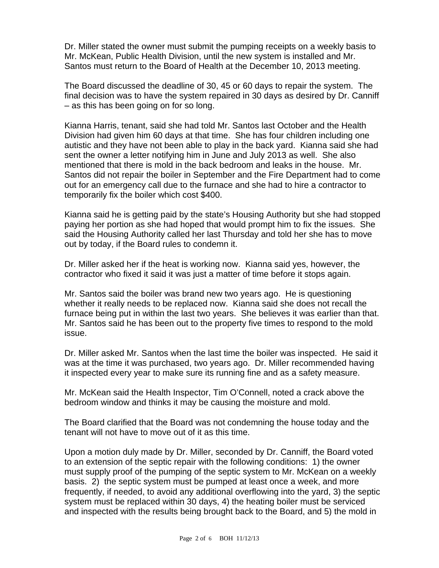Dr. Miller stated the owner must submit the pumping receipts on a weekly basis to Mr. McKean, Public Health Division, until the new system is installed and Mr. Santos must return to the Board of Health at the December 10, 2013 meeting.

The Board discussed the deadline of 30, 45 or 60 days to repair the system. The final decision was to have the system repaired in 30 days as desired by Dr. Canniff – as this has been going on for so long.

Kianna Harris, tenant, said she had told Mr. Santos last October and the Health Division had given him 60 days at that time. She has four children including one autistic and they have not been able to play in the back yard. Kianna said she had sent the owner a letter notifying him in June and July 2013 as well. She also mentioned that there is mold in the back bedroom and leaks in the house. Mr. Santos did not repair the boiler in September and the Fire Department had to come out for an emergency call due to the furnace and she had to hire a contractor to temporarily fix the boiler which cost \$400.

Kianna said he is getting paid by the state's Housing Authority but she had stopped paying her portion as she had hoped that would prompt him to fix the issues. She said the Housing Authority called her last Thursday and told her she has to move out by today, if the Board rules to condemn it.

Dr. Miller asked her if the heat is working now. Kianna said yes, however, the contractor who fixed it said it was just a matter of time before it stops again.

Mr. Santos said the boiler was brand new two years ago. He is questioning whether it really needs to be replaced now. Kianna said she does not recall the furnace being put in within the last two years. She believes it was earlier than that. Mr. Santos said he has been out to the property five times to respond to the mold issue.

Dr. Miller asked Mr. Santos when the last time the boiler was inspected. He said it was at the time it was purchased, two years ago. Dr. Miller recommended having it inspected every year to make sure its running fine and as a safety measure.

Mr. McKean said the Health Inspector, Tim O'Connell, noted a crack above the bedroom window and thinks it may be causing the moisture and mold.

The Board clarified that the Board was not condemning the house today and the tenant will not have to move out of it as this time.

Upon a motion duly made by Dr. Miller, seconded by Dr. Canniff, the Board voted to an extension of the septic repair with the following conditions: 1) the owner must supply proof of the pumping of the septic system to Mr. McKean on a weekly basis. 2) the septic system must be pumped at least once a week, and more frequently, if needed, to avoid any additional overflowing into the yard, 3) the septic system must be replaced within 30 days, 4) the heating boiler must be serviced and inspected with the results being brought back to the Board, and 5) the mold in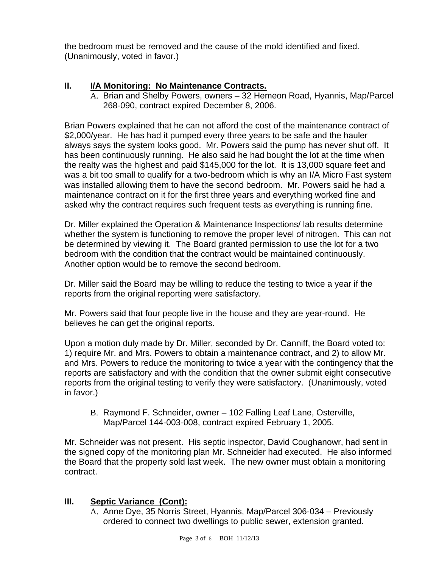the bedroom must be removed and the cause of the mold identified and fixed. (Unanimously, voted in favor.)

### **II. I/A Monitoring: No Maintenance Contracts.**

A. Brian and Shelby Powers, owners – 32 Hemeon Road, Hyannis, Map/Parcel 268-090, contract expired December 8, 2006.

Brian Powers explained that he can not afford the cost of the maintenance contract of \$2,000/year. He has had it pumped every three years to be safe and the hauler always says the system looks good. Mr. Powers said the pump has never shut off. It has been continuously running. He also said he had bought the lot at the time when the realty was the highest and paid \$145,000 for the lot. It is 13,000 square feet and was a bit too small to qualify for a two-bedroom which is why an I/A Micro Fast system was installed allowing them to have the second bedroom. Mr. Powers said he had a maintenance contract on it for the first three years and everything worked fine and asked why the contract requires such frequent tests as everything is running fine.

Dr. Miller explained the Operation & Maintenance Inspections/ lab results determine whether the system is functioning to remove the proper level of nitrogen. This can not be determined by viewing it. The Board granted permission to use the lot for a two bedroom with the condition that the contract would be maintained continuously. Another option would be to remove the second bedroom.

Dr. Miller said the Board may be willing to reduce the testing to twice a year if the reports from the original reporting were satisfactory.

Mr. Powers said that four people live in the house and they are year-round. He believes he can get the original reports.

Upon a motion duly made by Dr. Miller, seconded by Dr. Canniff, the Board voted to: 1) require Mr. and Mrs. Powers to obtain a maintenance contract, and 2) to allow Mr. and Mrs. Powers to reduce the monitoring to twice a year with the contingency that the reports are satisfactory and with the condition that the owner submit eight consecutive reports from the original testing to verify they were satisfactory. (Unanimously, voted in favor.)

B. Raymond F. Schneider, owner – 102 Falling Leaf Lane, Osterville, Map/Parcel 144-003-008, contract expired February 1, 2005.

Mr. Schneider was not present. His septic inspector, David Coughanowr, had sent in the signed copy of the monitoring plan Mr. Schneider had executed. He also informed the Board that the property sold last week. The new owner must obtain a monitoring contract.

#### **III. Septic Variance (Cont):**

A. Anne Dye, 35 Norris Street, Hyannis, Map/Parcel 306-034 – Previously ordered to connect two dwellings to public sewer, extension granted.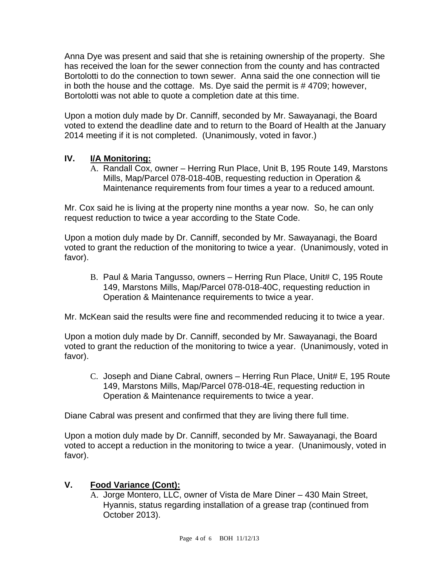Anna Dye was present and said that she is retaining ownership of the property. She has received the loan for the sewer connection from the county and has contracted Bortolotti to do the connection to town sewer. Anna said the one connection will tie in both the house and the cottage. Ms. Dye said the permit is # 4709; however, Bortolotti was not able to quote a completion date at this time.

Upon a motion duly made by Dr. Canniff, seconded by Mr. Sawayanagi, the Board voted to extend the deadline date and to return to the Board of Health at the January 2014 meeting if it is not completed. (Unanimously, voted in favor.)

## **IV. I/A Monitoring:**

A. Randall Cox, owner – Herring Run Place, Unit B, 195 Route 149, Marstons Mills, Map/Parcel 078-018-40B, requesting reduction in Operation & Maintenance requirements from four times a year to a reduced amount.

Mr. Cox said he is living at the property nine months a year now. So, he can only request reduction to twice a year according to the State Code.

Upon a motion duly made by Dr. Canniff, seconded by Mr. Sawayanagi, the Board voted to grant the reduction of the monitoring to twice a year. (Unanimously, voted in favor).

B. Paul & Maria Tangusso, owners – Herring Run Place, Unit# C, 195 Route 149, Marstons Mills, Map/Parcel 078-018-40C, requesting reduction in Operation & Maintenance requirements to twice a year.

Mr. McKean said the results were fine and recommended reducing it to twice a year.

Upon a motion duly made by Dr. Canniff, seconded by Mr. Sawayanagi, the Board voted to grant the reduction of the monitoring to twice a year. (Unanimously, voted in favor).

C. Joseph and Diane Cabral, owners – Herring Run Place, Unit# E, 195 Route 149, Marstons Mills, Map/Parcel 078-018-4E, requesting reduction in Operation & Maintenance requirements to twice a year.

Diane Cabral was present and confirmed that they are living there full time.

Upon a motion duly made by Dr. Canniff, seconded by Mr. Sawayanagi, the Board voted to accept a reduction in the monitoring to twice a year. (Unanimously, voted in favor).

## **V. Food Variance (Cont):**

A. Jorge Montero, LLC, owner of Vista de Mare Diner – 430 Main Street, Hyannis, status regarding installation of a grease trap (continued from October 2013).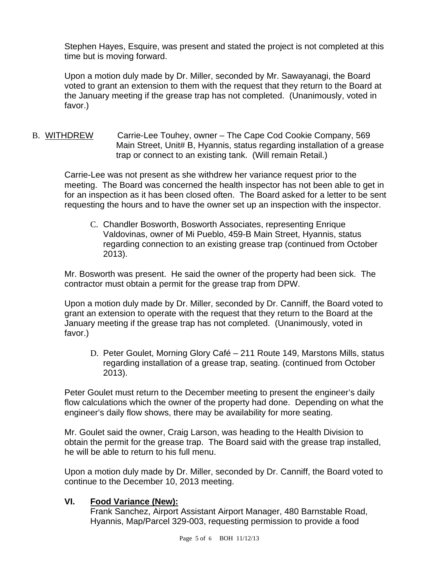Stephen Hayes, Esquire, was present and stated the project is not completed at this time but is moving forward.

Upon a motion duly made by Dr. Miller, seconded by Mr. Sawayanagi, the Board voted to grant an extension to them with the request that they return to the Board at the January meeting if the grease trap has not completed. (Unanimously, voted in favor.)

B. WITHDREW Carrie-Lee Touhey, owner – The Cape Cod Cookie Company, 569 Main Street, Unit# B, Hyannis, status regarding installation of a grease trap or connect to an existing tank. (Will remain Retail.)

Carrie-Lee was not present as she withdrew her variance request prior to the meeting. The Board was concerned the health inspector has not been able to get in for an inspection as it has been closed often. The Board asked for a letter to be sent requesting the hours and to have the owner set up an inspection with the inspector.

C. Chandler Bosworth, Bosworth Associates, representing Enrique Valdovinas, owner of Mi Pueblo, 459-B Main Street, Hyannis, status regarding connection to an existing grease trap (continued from October 2013).

Mr. Bosworth was present. He said the owner of the property had been sick. The contractor must obtain a permit for the grease trap from DPW.

Upon a motion duly made by Dr. Miller, seconded by Dr. Canniff, the Board voted to grant an extension to operate with the request that they return to the Board at the January meeting if the grease trap has not completed. (Unanimously, voted in favor.)

D. Peter Goulet, Morning Glory Café – 211 Route 149, Marstons Mills, status regarding installation of a grease trap, seating. (continued from October 2013).

Peter Goulet must return to the December meeting to present the engineer's daily flow calculations which the owner of the property had done. Depending on what the engineer's daily flow shows, there may be availability for more seating.

Mr. Goulet said the owner, Craig Larson, was heading to the Health Division to obtain the permit for the grease trap. The Board said with the grease trap installed, he will be able to return to his full menu.

Upon a motion duly made by Dr. Miller, seconded by Dr. Canniff, the Board voted to continue to the December 10, 2013 meeting.

#### **VI. Food Variance (New):**

Frank Sanchez, Airport Assistant Airport Manager, 480 Barnstable Road, Hyannis, Map/Parcel 329-003, requesting permission to provide a food